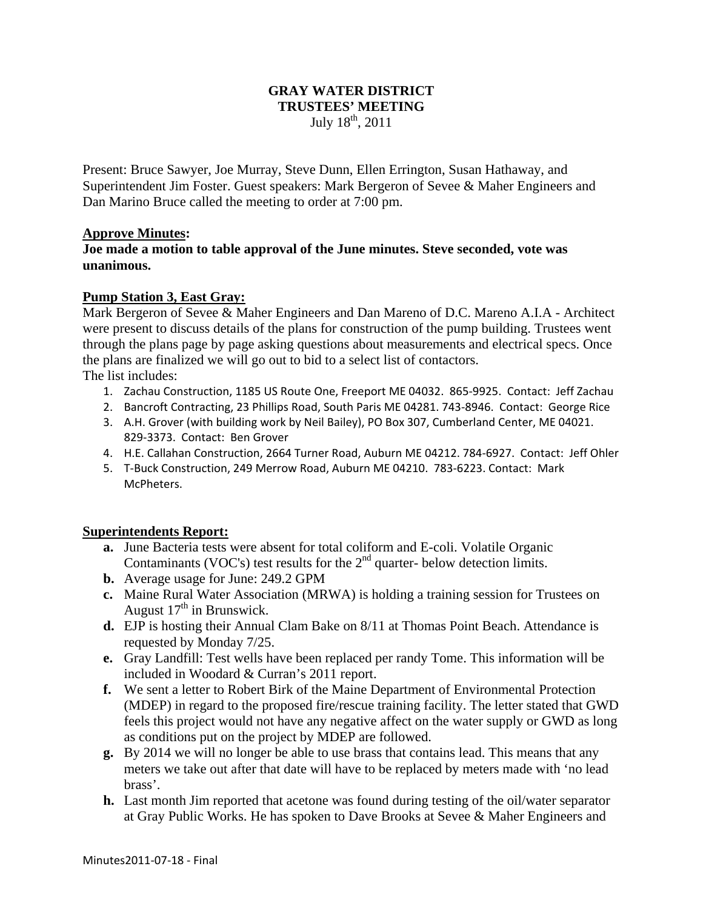## **GRAY WATER DISTRICT TRUSTEES' MEETING**  July  $18^{th}$ , 2011

Present: Bruce Sawyer, Joe Murray, Steve Dunn, Ellen Errington, Susan Hathaway, and Superintendent Jim Foster. Guest speakers: Mark Bergeron of Sevee & Maher Engineers and Dan Marino Bruce called the meeting to order at 7:00 pm.

#### **Approve Minutes:**

**Joe made a motion to table approval of the June minutes. Steve seconded, vote was unanimous.** 

## **Pump Station 3, East Gray:**

Mark Bergeron of Sevee & Maher Engineers and Dan Mareno of D.C. Mareno A.I.A - Architect were present to discuss details of the plans for construction of the pump building. Trustees went through the plans page by page asking questions about measurements and electrical specs. Once the plans are finalized we will go out to bid to a select list of contactors. The list includes:

- 1. Zachau Construction, 1185 US Route One, Freeport ME 04032. 865‐9925. Contact: Jeff Zachau
- 2. Bancroft Contracting, 23 Phillips Road, South Paris ME 04281. 743‐8946. Contact: George Rice
- 3. A.H. Grover (with building work by Neil Bailey), PO Box 307, Cumberland Center, ME 04021. 829‐3373. Contact: Ben Grover
- 4. H.E. Callahan Construction, 2664 Turner Road, Auburn ME 04212. 784‐6927. Contact: Jeff Ohler
- 5. T‐Buck Construction, 249 Merrow Road, Auburn ME 04210. 783‐6223. Contact: Mark McPheters.

## **Superintendents Report:**

- **a.** June Bacteria tests were absent for total coliform and E-coli. Volatile Organic Contaminants (VOC's) test results for the  $2<sup>nd</sup>$  quarter- below detection limits.
- **b.** Average usage for June: 249.2 GPM
- **c.** Maine Rural Water Association (MRWA) is holding a training session for Trustees on August  $17<sup>th</sup>$  in Brunswick.
- **d.** EJP is hosting their Annual Clam Bake on 8/11 at Thomas Point Beach. Attendance is requested by Monday 7/25.
- **e.** Gray Landfill: Test wells have been replaced per randy Tome. This information will be included in Woodard & Curran's 2011 report.
- **f.** We sent a letter to Robert Birk of the Maine Department of Environmental Protection (MDEP) in regard to the proposed fire/rescue training facility. The letter stated that GWD feels this project would not have any negative affect on the water supply or GWD as long as conditions put on the project by MDEP are followed.
- **g.** By 2014 we will no longer be able to use brass that contains lead. This means that any meters we take out after that date will have to be replaced by meters made with 'no lead brass'.
- **h.** Last month Jim reported that acetone was found during testing of the oil/water separator at Gray Public Works. He has spoken to Dave Brooks at Sevee & Maher Engineers and